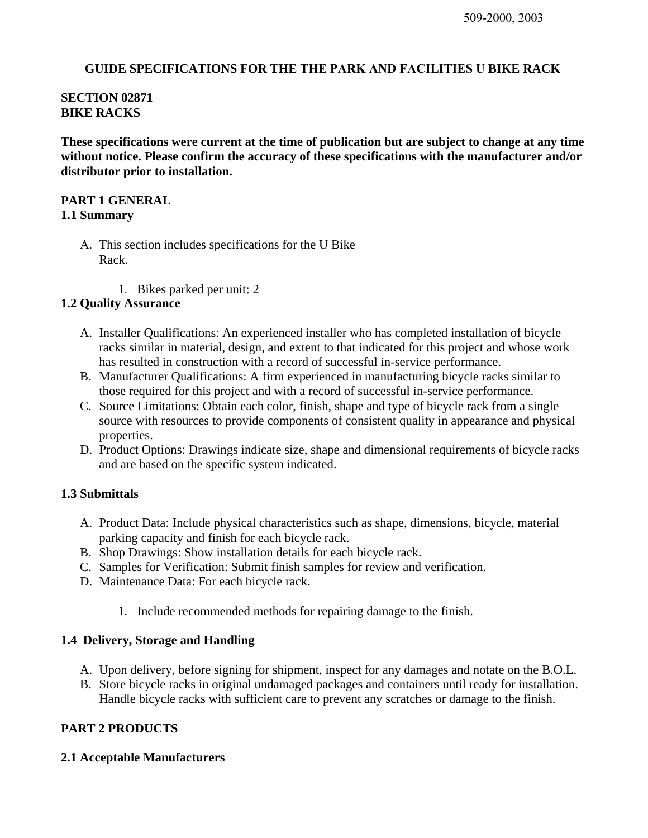### **GUIDE SPECIFICATIONS FOR THE THE PARK AND FACILITIES U BIKE RACK**

### **SECTION 02871 BIKE RACKS**

**These specifications were current at the time of publication but are subject to change at any time without notice. Please confirm the accuracy of these specifications with the manufacturer and/or distributor prior to installation.**

#### **PART 1 GENERAL 1.1 Summary**

- A. This section includes specifications for the U Bike Rack.
	- 1. Bikes parked per unit: 2

#### **1.2 Quality Assurance**

- A. Installer Qualifications: An experienced installer who has completed installation of bicycle racks similar in material, design, and extent to that indicated for this project and whose work has resulted in construction with a record of successful in-service performance.
- B. Manufacturer Qualifications: A firm experienced in manufacturing bicycle racks similar to those required for this project and with a record of successful in-service performance.
- C. Source Limitations: Obtain each color, finish, shape and type of bicycle rack from a single source with resources to provide components of consistent quality in appearance and physical properties.
- D. Product Options: Drawings indicate size, shape and dimensional requirements of bicycle racks and are based on the specific system indicated.

# **1.3 Submittals**

- A. Product Data: Include physical characteristics such as shape, dimensions, bicycle, material parking capacity and finish for each bicycle rack.
- B. Shop Drawings: Show installation details for each bicycle rack.
- C. Samples for Verification: Submit finish samples for review and verification.
- D. Maintenance Data: For each bicycle rack.
	- 1. Include recommended methods for repairing damage to the finish.

#### **1.4 Delivery, Storage and Handling**

- A. Upon delivery, before signing for shipment, inspect for any damages and notate on the B.O.L.
- B. Store bicycle racks in original undamaged packages and containers until ready for installation. Handle bicycle racks with sufficient care to prevent any scratches or damage to the finish.

# **PART 2 PRODUCTS**

# **2.1 Acceptable Manufacturers**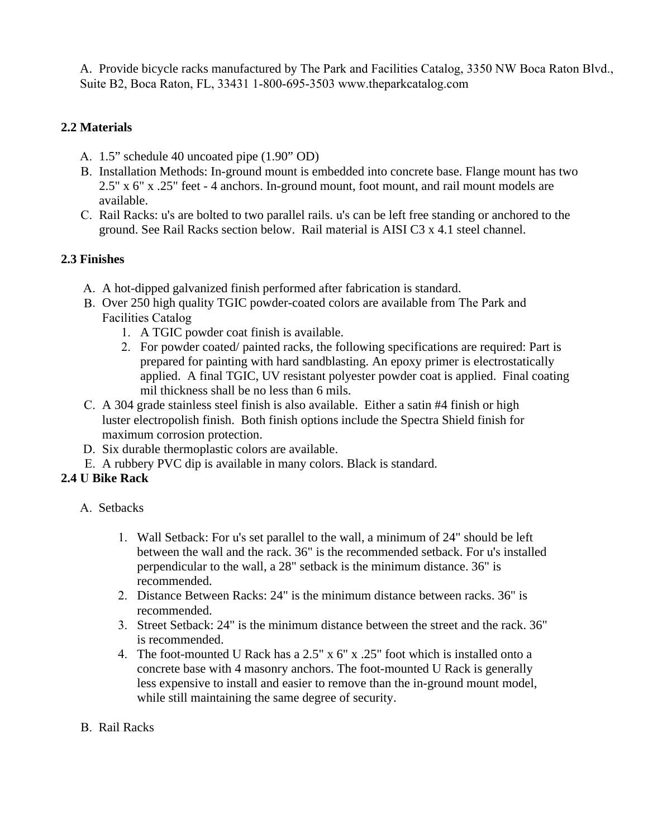A. Provide bicycle racks manufactured by The Park and Facilities Catalog, 3350 NW Boca Raton Blvd., Suite B2, Boca Raton, FL, 33431 1-800-695-3503 www.theparkcatalog.com

# **2.2 Materials**

- A. 1.5" schedule 40 uncoated pipe (1.90" OD)
- B. Installation Methods: In-ground mount is embedded into concrete base. Flange mount has two 2.5" x 6" x .25" feet - 4 anchors. In-ground mount, foot mount, and rail mount models are available.
- C. Rail Racks: u's are bolted to two parallel rails. u's can be left free standing or anchored to the ground. See Rail Racks section below. Rail material is AISI C3 x 4.1 steel channel.

# **2.3 Finishes**

- A. A hot-dipped galvanized finish performed after fabrication is standard.
- B. Over 250 high quality TGIC powder-coated colors are available from The Park and Facilities Catalog
	- 1. A TGIC powder coat finish is available.
	- 2. For powder coated/ painted racks, the following specifications are required: Part is prepared for painting with hard sandblasting. An epoxy primer is electrostatically applied. A final TGIC, UV resistant polyester powder coat is applied. Final coating mil thickness shall be no less than 6 mils.
- C. A 304 grade stainless steel finish is also available. Either a satin #4 finish or high luster electropolish finish. Both finish options include the Spectra Shield finish for maximum corrosion protection.
- D. Six durable thermoplastic colors are available.
- E. A rubbery PVC dip is available in many colors. Black is standard.

# **2.4 U Bike Rack**

- A. Setbacks
	- 1. Wall Setback: For u's set parallel to the wall, a minimum of 24" should be left between the wall and the rack. 36" is the recommended setback. For u's installed perpendicular to the wall, a 28" setback is the minimum distance. 36" is recommended.
	- 2. Distance Between Racks: 24" is the minimum distance between racks. 36" is recommended.
	- 3. Street Setback: 24" is the minimum distance between the street and the rack. 36" is recommended.
	- 4. The foot-mounted U Rack has a 2.5" x 6" x .25" foot which is installed onto a concrete base with 4 masonry anchors. The foot-mounted U Rack is generally less expensive to install and easier to remove than the in-ground mount model, while still maintaining the same degree of security.

# B. Rail Racks